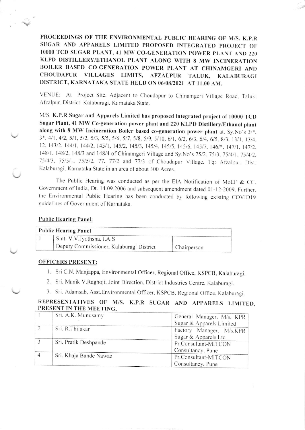PROCEEDINGS OF THE ENVIRONMENTAL PUBLIC HEARING OF M/S. K.P.R SUGAR AND APPARELS LIMITED PROPOSED INTEGRATED PROJECT OF 10000 TCD SUGAR PLANT, 41 MW CO-GENERATION POWER PLANT AND 220 KLPD DISTILLERY/ETHANOL PLANT ALONG WITH 8 MW INCINERATION BOILER BASED CO-GENERATION POWER PLANT AT CHINAMGERI AND VILLAGES LIMITS, **CHOUDAPUR** AFZALPUR TALUK, KALABURAGI DISTRICT, KARNATAKA STATE HELD ON 06/08/2021 AT 11.00 AM.

VENUE: At Project Site, Adjacent to Choudapur to Chinamgeri Village Road, Taluk: Afzalpur, District: Kalaburagi, Karnataka State.

M/S. K.P.R Sugar and Apparels Limited has proposed integrated project of 10000 TCD Sugar Plant, 41 MW Co-generation power plant and 220 KLPD Distillery/Ethanol plant along with 8 MW Incineration Boiler based co-generation power plant at. Sy.No's 3/\*. 3\*, 4/1, 4/2, 5/1, 5/2, 5/3, 5/5, 5/6, 5/7, 5/8, 5/9, 5/10, 6/1, 6/2, 6/3, 6/4, 6/5, 8/3, 13/1, 13/4, 12, 143/2, 144/1, 144/2, 145/1, 145/2, 145/3, 145/4, 145/5, 145/6, 145/7, 146/\*, 147/1, 147/2, 148/1, 148/2, 148/3 and 148/4 of Chinamgeri Village and Sy.No's 75/2, 75/3, 75/4/1, 75/4/2, 75/4/3, 75/5/1, 75/5/2, 77, 77/2 and 77/3 of Choudapur Village, Tq: Afzalpur, Dist: Kalaburagi, Karnataka State in an area of about 300 Acres.

The Public Hearing was conducted as per the EIA Notification of MoEF & CC. Government of India, Dt. 14.09.2006 and subsequent amendment dated 01-12-2009. Further, the Environmental Public Hearing has been conducted by following existing COVID19 guidelines of Government of Karnataka.

## **Public Hearing Panel:**

| <b>Public Hearing Panel</b> |                                          |             |  |
|-----------------------------|------------------------------------------|-------------|--|
|                             | Smt. V.V.Jyothsna, I.A.S                 |             |  |
|                             | Deputy Commissioner, Kalaburagi District | Chairperson |  |

## **OFFICERS PRESENT:**

- 1. Sri C.N. Manjappa, Environmental Officer, Regional Office, KSPCB, Kalaburagi.
- 2. Sri. Manik V.Raghoji, Joint Direction, District Industries Centre, Kalaburagi.
- 3. Sri. Adamsab, Asst.Environmental Officer, KSPCB, Regional Office, Kalaburagi.

## REPRESENTATIVES OF M/S. K.P.R SUGAR AND APPARELS LIMITED, PRESENT IN THE MEETING.

|  | Srt. A.K. Munusamy     | General Manager, M/s. KPR |
|--|------------------------|---------------------------|
|  |                        | Sugar & Apparels Limited  |
|  | Sri. R. Thilakar       | Factory Manager, M/s.KPR  |
|  |                        | Sugar & Apparels Ltd      |
|  | Sri. Pratik Deshpande  | Pr.Consultant-MITCON      |
|  |                        | Consultancy, Pune         |
|  | Sri. Khaja Bande Nawaz | Pr.Consultant-MITCON      |
|  |                        | Consultancy, Pune         |